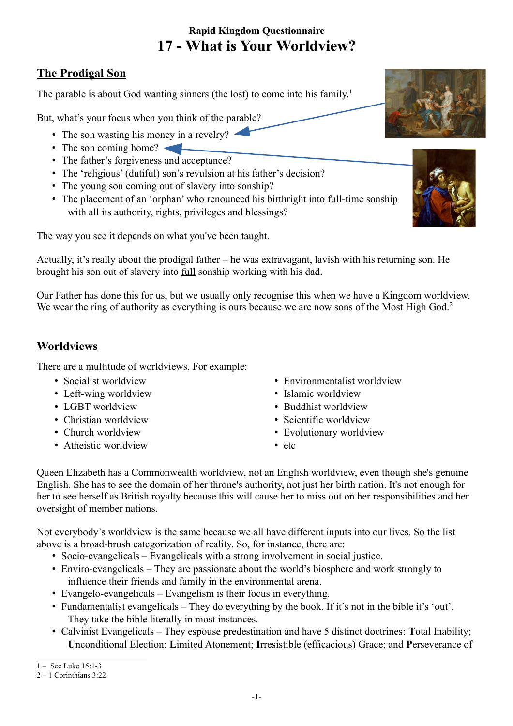### **Rapid Kingdom Questionnaire 17 - What is Your Worldview?**

# **The Prodigal Son**

The parable is about God wanting sinners (the lost) to come into his family.<sup>[1](#page-0-0)</sup>

But, what's your focus when you think of the parable?

- The son wasting his money in a revelry?
- The son coming home?
- The father's forgiveness and acceptance?
- The 'religious' (dutiful) son's revulsion at his father's decision?
- The young son coming out of slavery into sonship?
- The placement of an 'orphan' who renounced his birthright into full-time sonship with all its authority, rights, privileges and blessings?

The way you see it depends on what you've been taught.

Actually, it's really about the prodigal father – he was extravagant, lavish with his returning son. He brought his son out of slavery into full sonship working with his dad.

Our Father has done this for us, but we usually only recognise this when we have a Kingdom worldview. We wear the ring of authority as everything is ours because we are now sons of the Most High God.<sup>[2](#page-0-1)</sup>

# **Worldviews**

There are a multitude of worldviews. For example:

- Socialist worldview
- Left-wing worldview
- LGBT worldview
- Christian worldview
- Church worldview
- Atheistic worldview
- Environmentalist worldview
- Islamic worldview
- Buddhist worldview
- Scientific worldview
- Evolutionary worldview
- etc

Queen Elizabeth has a Commonwealth worldview, not an English worldview, even though she's genuine English. She has to see the domain of her throne's authority, not just her birth nation. It's not enough for her to see herself as British royalty because this will cause her to miss out on her responsibilities and her oversight of member nations.

Not everybody's worldview is the same because we all have different inputs into our lives. So the list above is a broad-brush categorization of reality. So, for instance, there are:

- Socio-evangelicals Evangelicals with a strong involvement in social justice.
- Enviro-evangelicals They are passionate about the world's biosphere and work strongly to influence their friends and family in the environmental arena.
- Evangelo-evangelicals Evangelism is their focus in everything.
- Fundamentalist evangelicals They do everything by the book. If it's not in the bible it's 'out'. They take the bible literally in most instances.
- Calvinist Evangelicals They espouse predestination and have 5 distinct doctrines: **T**otal Inability; **U**nconditional Election; **L**imited Atonement; **I**rresistible (efficacious) Grace; and **P**erseverance of





<span id="page-0-0"></span><sup>1 –</sup> See Luke 15:1-3

<span id="page-0-1"></span><sup>2 – 1</sup> Corinthians 3:22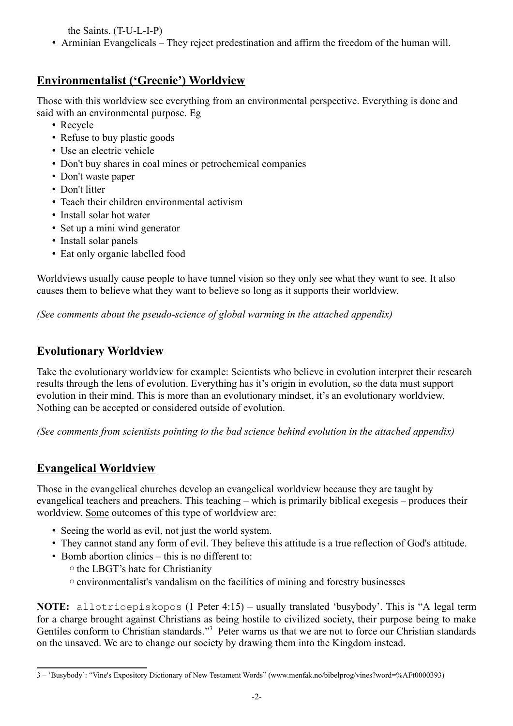the Saints. (T-U-L-I-P)

• Arminian Evangelicals – They reject predestination and affirm the freedom of the human will.

## **Environmentalist ('Greenie') Worldview**

Those with this worldview see everything from an environmental perspective. Everything is done and said with an environmental purpose. Eg

- Recycle
- Refuse to buy plastic goods
- Use an electric vehicle
- Don't buy shares in coal mines or petrochemical companies
- Don't waste paper
- Don't litter
- Teach their children environmental activism
- Install solar hot water
- Set up a mini wind generator
- Install solar panels
- Eat only organic labelled food

Worldviews usually cause people to have tunnel vision so they only see what they want to see. It also causes them to believe what they want to believe so long as it supports their worldview.

*(See comments about the pseudo-science of global warming in the attached appendix)*

### **Evolutionary Worldview**

Take the evolutionary worldview for example: Scientists who believe in evolution interpret their research results through the lens of evolution. Everything has it's origin in evolution, so the data must support evolution in their mind. This is more than an evolutionary mindset, it's an evolutionary worldview. Nothing can be accepted or considered outside of evolution.

*(See comments from scientists pointing to the bad science behind evolution in the attached appendix)*

# **Evangelical Worldview**

Those in the evangelical churches develop an evangelical worldview because they are taught by evangelical teachers and preachers. This teaching – which is primarily biblical exegesis – produces their worldview. Some outcomes of this type of worldview are:

- Seeing the world as evil, not just the world system.
- They cannot stand any form of evil. They believe this attitude is a true reflection of God's attitude.
- Bomb abortion clinics this is no different to:
	- ◦the LBGT's hate for Christianity
	- ◦environmentalist's vandalism on the facilities of mining and forestry businesses

**NOTE:** allotrioepiskopos (1 Peter 4:15) – usually translated 'busybody'. This is "A legal term for a charge brought against Christians as being hostile to civilized society, their purpose being to make Gentiles conform to Christian standards."<sup>[3](#page-1-0)</sup> Peter warns us that we are not to force our Christian standards on the unsaved. We are to change our society by drawing them into the Kingdom instead.

<span id="page-1-0"></span><sup>3 – &#</sup>x27;Busybody': "Vine's Expository Dictionary of New Testament Words" (www.menfak.no/bibelprog/vines?word=%AFt0000393)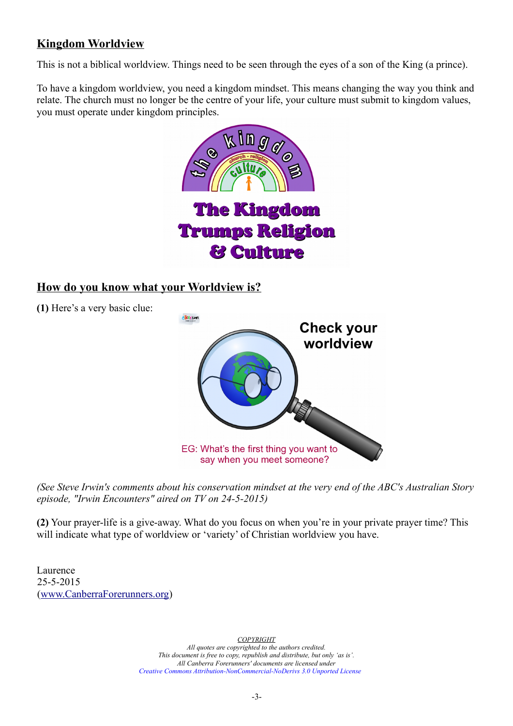### **Kingdom Worldview**

This is not a biblical worldview. Things need to be seen through the eyes of a son of the King (a prince).

To have a kingdom worldview, you need a kingdom mindset. This means changing the way you think and relate. The church must no longer be the centre of your life, your culture must submit to kingdom values, you must operate under kingdom principles.



#### **How do you know what your Worldview is?**

**(1)** Here's a very basic clue:



*(See Steve Irwin's comments about his conservation mindset at the very end of the ABC's Australian Story episode, "Irwin Encounters" aired on TV on 24-5-2015)*

**(2)** Your prayer-life is a give-away. What do you focus on when you're in your private prayer time? This will indicate what type of worldview or 'variety' of Christian worldview you have.

Laurence 25-5-2015 [\(www.CanberraForerunners.org\)](http://www.CanberraForerunners.org/)

> *COPYRIGHT All quotes are copyrighted to the authors credited. This document is free to copy, republish and distribute, but only 'as is'. All Canberra Forerunners' documents are licensed under [Creative Commons Attribution-NonCommercial-NoDerivs 3.0 Unported License](http://creativecommons.org/licenses/by-nc-nd/3.0/)*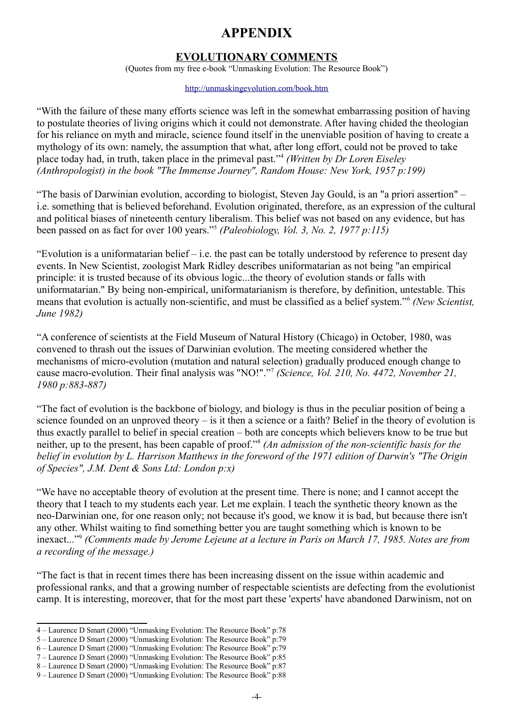## **APPENDIX**

#### **EVOLUTIONARY COMMENTS**

(Quotes from my free e-book "Unmasking Evolution: The Resource Book")

#### <http://unmaskingevolution.com/book.htm>

"With the failure of these many efforts science was left in the somewhat embarrassing position of having to postulate theories of living origins which it could not demonstrate. After having chided the theologian for his reliance on myth and miracle, science found itself in the unenviable position of having to create a mythology of its own: namely, the assumption that what, after long effort, could not be proved to take place today had, in truth, taken place in the primeval past."[4](#page-3-0) *(Written by Dr Loren Eiseley (Anthropologist) in the book "The Immense Journey", Random House: New York, 1957 p:199)*

"The basis of Darwinian evolution, according to biologist, Steven Jay Gould, is an "a priori assertion" – i.e. something that is believed beforehand. Evolution originated, therefore, as an expression of the cultural and political biases of nineteenth century liberalism. This belief was not based on any evidence, but has been passed on as fact for over 100 years."[5](#page-3-1) *(Paleobiology, Vol. 3, No. 2, 1977 p:115)*

"Evolution is a uniformatarian belief – i.e. the past can be totally understood by reference to present day events. In New Scientist, zoologist Mark Ridley describes uniformatarian as not being "an empirical principle: it is trusted because of its obvious logic...the theory of evolution stands or falls with uniformatarian." By being non-empirical, uniformatarianism is therefore, by definition, untestable. This means that evolution is actually non-scientific, and must be classified as a belief system."[6](#page-3-2) *(New Scientist, June 1982)*

"A conference of scientists at the Field Museum of Natural History (Chicago) in October, 1980, was convened to thrash out the issues of Darwinian evolution. The meeting considered whether the mechanisms of micro-evolution (mutation and natural selection) gradually produced enough change to cause macro-evolution. Their final analysis was "NO!"."[7](#page-3-3) *(Science, Vol. 210, No. 4472, November 21, 1980 p:883-887)*

"The fact of evolution is the backbone of biology, and biology is thus in the peculiar position of being a science founded on an unproved theory – is it then a science or a faith? Belief in the theory of evolution is thus exactly parallel to belief in special creation – both are concepts which believers know to be true but neither, up to the present, has been capable of proof."[8](#page-3-4) *(An admission of the non-scientific basis for the belief in evolution by L. Harrison Matthews in the foreword of the 1971 edition of Darwin's "The Origin of Species", J.M. Dent & Sons Ltd: London p:x)*

"We have no acceptable theory of evolution at the present time. There is none; and I cannot accept the theory that I teach to my students each year. Let me explain. I teach the synthetic theory known as the neo-Darwinian one, for one reason only; not because it's good, we know it is bad, but because there isn't any other. Whilst waiting to find something better you are taught something which is known to be inexact..."[9](#page-3-5) *(Comments made by Jerome Lejeune at a lecture in Paris on March 17, 1985. Notes are from a recording of the message.)*

"The fact is that in recent times there has been increasing dissent on the issue within academic and professional ranks, and that a growing number of respectable scientists are defecting from the evolutionist camp. It is interesting, moreover, that for the most part these 'experts' have abandoned Darwinism, not on

<span id="page-3-0"></span><sup>4 –</sup> Laurence D Smart (2000) "Unmasking Evolution: The Resource Book" p:78

<span id="page-3-1"></span><sup>5 –</sup> Laurence D Smart (2000) "Unmasking Evolution: The Resource Book" p:79

<span id="page-3-2"></span><sup>6 –</sup> Laurence D Smart (2000) "Unmasking Evolution: The Resource Book" p:79

<span id="page-3-3"></span><sup>7 –</sup> Laurence D Smart (2000) "Unmasking Evolution: The Resource Book" p:85

<span id="page-3-4"></span><sup>8 –</sup> Laurence D Smart (2000) "Unmasking Evolution: The Resource Book" p:87

<span id="page-3-5"></span><sup>9 –</sup> Laurence D Smart (2000) "Unmasking Evolution: The Resource Book" p:88